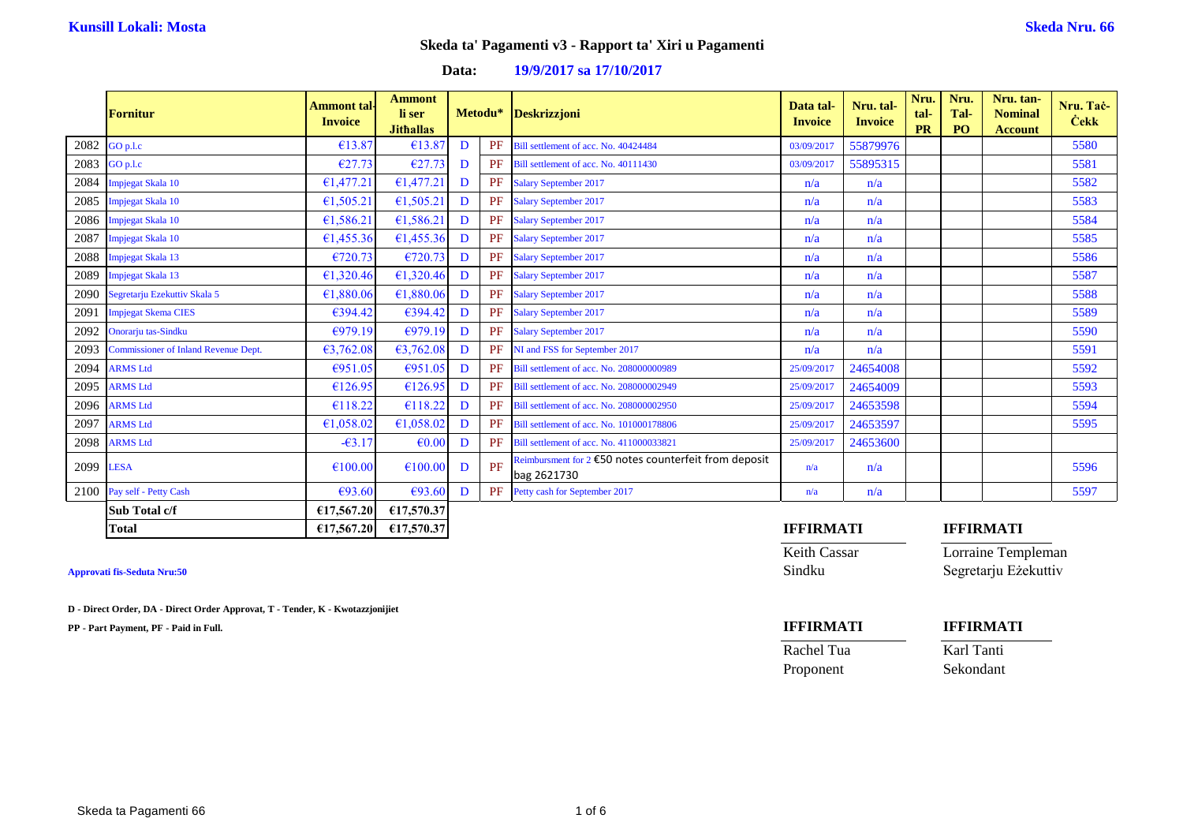### **Data: 19/9/2017 sa 17/10/2017**

|      | <b>Fornitur</b>                             | <b>Ammont tal-</b><br><b>Invoice</b> | <b>Ammont</b><br>li ser<br><b>Jithallas</b> |              | Metodu* | Deskrizzjoni                                                         | Data tal-<br><b>Invoice</b> | Nru. tal-<br><b>Invoice</b> | Nru.<br>tal-<br><b>PR</b> | Nru.<br>Tal-<br>P <sub>O</sub> | Nru. tan-<br><b>Nominal</b><br><b>Account</b> | Nru. Tač-<br><b>Cekk</b> |
|------|---------------------------------------------|--------------------------------------|---------------------------------------------|--------------|---------|----------------------------------------------------------------------|-----------------------------|-----------------------------|---------------------------|--------------------------------|-----------------------------------------------|--------------------------|
| 2082 | GO p.l.c                                    | €13.87                               | €13.87                                      | D            | PF      | Bill settlement of acc. No. 40424484                                 | 03/09/2017                  | 55879976                    |                           |                                |                                               | 5580                     |
| 2083 | GO p.l.c                                    | €27.73                               | €27.73                                      | D            | PF      | Bill settlement of acc. No. 40111430                                 | 03/09/2017                  | 55895315                    |                           |                                |                                               | 5581                     |
| 2084 | mpjegat Skala 10                            | €1,477.21                            | €1,477.21                                   | D            | PF      | <b>Salary September 2017</b>                                         | n/a                         | n/a                         |                           |                                |                                               | 5582                     |
| 2085 | Impjegat Skala 10                           | €1,505.21                            | €1,505.21                                   | D            | PF      | <b>Salary September 2017</b>                                         | n/a                         | n/a                         |                           |                                |                                               | 5583                     |
| 2086 | Impjegat Skala 10                           | €1,586.21                            | €1,586.21                                   | D            | PF      | <b>Salary September 2017</b>                                         | n/a                         | n/a                         |                           |                                |                                               | 5584                     |
| 2087 | Impjegat Skala 10                           | €1,455.36                            | €1,455.36                                   | D            | PF      | <b>Salary September 2017</b>                                         | n/a                         | n/a                         |                           |                                |                                               | 5585                     |
| 2088 | <b>Impjegat Skala 13</b>                    | €720.73                              | €720.73                                     | D            | PF      | <b>Salary September 2017</b>                                         | n/a                         | n/a                         |                           |                                |                                               | 5586                     |
| 2089 | Impjegat Skala 13                           | €1,320.46                            | €1,320.46                                   | D            | PF      | <b>Salary September 2017</b>                                         | n/a                         | n/a                         |                           |                                |                                               | 5587                     |
| 2090 | Segretarju Ezekuttiv Skala 5                | €1,880.06                            | €1,880.06                                   | D            | PF      | <b>Salary September 2017</b>                                         | n/a                         | n/a                         |                           |                                |                                               | 5588                     |
| 2091 | <b>Impjegat Skema CIES</b>                  | €394.42                              | €394.42                                     | $\mathbf{D}$ | PF      | <b>Salary September 2017</b>                                         | n/a                         | n/a                         |                           |                                |                                               | 5589                     |
| 2092 | Onorarju tas-Sindku                         | €979.19                              | €979.19                                     | D            | PF      | <b>Salary September 2017</b>                                         | n/a                         | n/a                         |                           |                                |                                               | 5590                     |
| 2093 | <b>Commissioner of Inland Revenue Dept.</b> | €3,762.08                            | €3,762.08                                   | D            | PF      | NI and FSS for September 2017                                        | n/a                         | n/a                         |                           |                                |                                               | 5591                     |
| 2094 | <b>ARMS Ltd</b>                             | €951.05                              | €951.05                                     | D            | PF      | Bill settlement of acc. No. 208000000989                             | 25/09/2017                  | 24654008                    |                           |                                |                                               | 5592                     |
| 2095 | <b>ARMS Ltd</b>                             | €126.95                              | €126.95                                     | D            | PF      | Bill settlement of acc. No. 208000002949                             | 25/09/2017                  | 24654009                    |                           |                                |                                               | 5593                     |
| 2096 | <b>ARMS Ltd</b>                             | €118.22                              | €118.22                                     | D            | PF      | Bill settlement of acc. No. 208000002950                             | 25/09/2017                  | 24653598                    |                           |                                |                                               | 5594                     |
| 2097 | <b>ARMS Ltd</b>                             | €1,058.02                            | €1,058.02                                   | D            | PF      | Bill settlement of acc. No. 101000178806                             | 25/09/2017                  | 24653597                    |                           |                                |                                               | 5595                     |
| 2098 | <b>ARMS Ltd</b>                             | $-63.17$                             | €0.00                                       | D            | PF      | Bill settlement of acc. No. 411000033821                             | 25/09/2017                  | 24653600                    |                           |                                |                                               |                          |
| 2099 | <b>LESA</b>                                 | €100.00                              | €100.00                                     | D            | PF      | Reimbursment for 2 €50 notes counterfeit from deposit<br>bag 2621730 | n/a                         | n/a                         |                           |                                |                                               | 5596                     |
| 2100 | Pay self - Petty Cash                       | €93.60                               | €93.60                                      | D            | PF      | Petty cash for September 2017                                        | n/a                         | n/a                         |                           |                                |                                               | 5597                     |
|      | Sub Total c/f                               | €17,567,20                           | €17,570.37                                  |              |         |                                                                      |                             |                             |                           |                                |                                               |                          |
|      | <b>Total</b>                                | €17,567.20                           | €17,570.37                                  |              |         |                                                                      | <b>IFFIRMATI</b>            |                             |                           |                                | <b>IFFIRMATI</b>                              |                          |

**D - Direct Order, DA - Direct Order Approvat, T - Tender, K - Kwotazzjonijiet**

Keith Cassar Lorraine Templeman **Approvati fis-Seduta Nru:50** Sindku Segretarju Eżekuttiv

| PP - Part Payment, PF - Paid in Full. | <b>IFFIRMATI</b> | <b>IFFIRMATI</b> |
|---------------------------------------|------------------|------------------|
|                                       | Rachel Tua       | Karl Tanti       |

Proponent Sekondant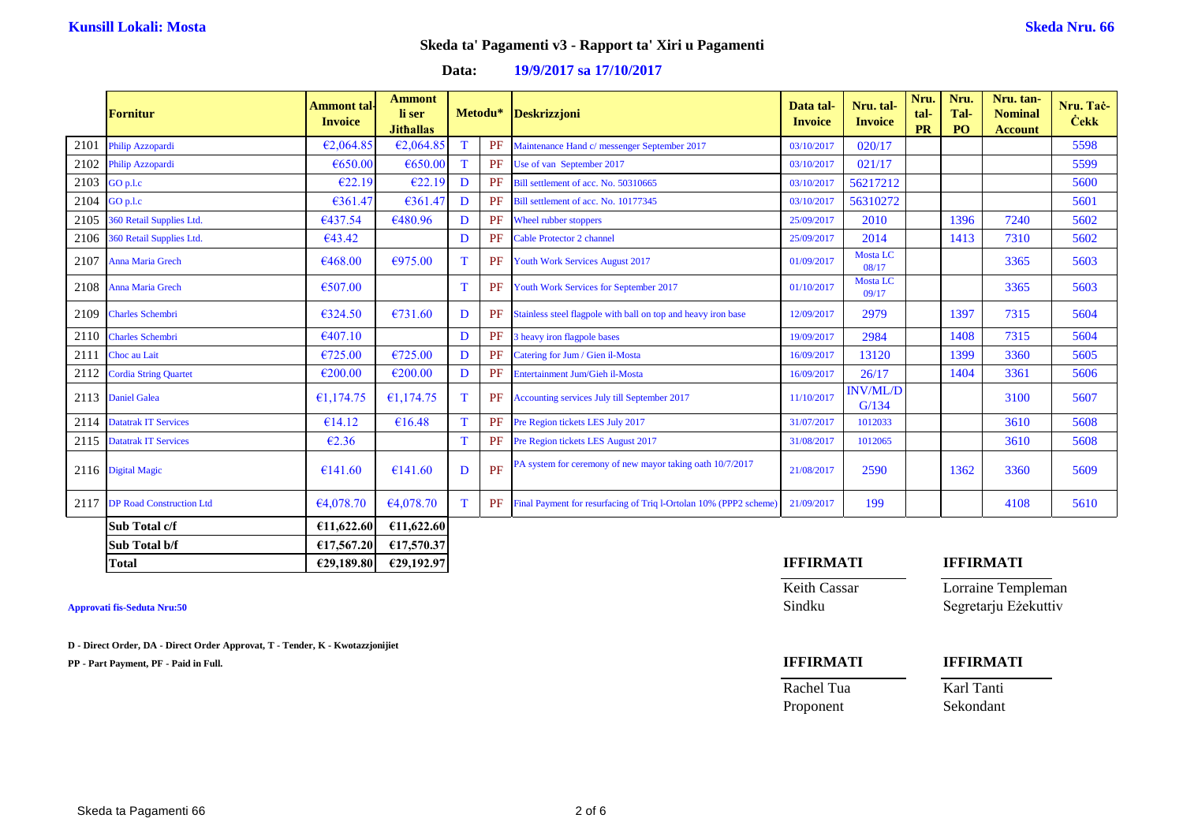### **Data: 19/9/2017 sa 17/10/2017**

|      | <b>Fornitur</b>                 | <b>Ammont</b> tal<br><b>Invoice</b> | <b>Ammont</b><br>li ser<br><b>Jithallas</b> |   | Metodu* | <b>Deskrizzjoni</b>                                               | Data tal-<br><b>Invoice</b> | Nru. tal-<br><b>Invoice</b> | Nru.<br>tal-<br><b>PR</b> | Nru.<br>Tal-<br><b>PO</b> | Nru. tan-<br><b>Nominal</b><br><b>Account</b> | Nru. Tač-<br><b>Cekk</b> |
|------|---------------------------------|-------------------------------------|---------------------------------------------|---|---------|-------------------------------------------------------------------|-----------------------------|-----------------------------|---------------------------|---------------------------|-----------------------------------------------|--------------------------|
| 2101 | Philip Azzopardi                | €2,064.85                           | €2,064.85                                   | T | PF      | Maintenance Hand c/ messenger September 2017                      | 03/10/2017                  | 020/17                      |                           |                           |                                               | 5598                     |
| 2102 | Philip Azzopardi                | €650.00                             | €650.00                                     | T | PF      | Use of van September 2017                                         | 03/10/2017                  | 021/17                      |                           |                           |                                               | 5599                     |
| 2103 | GO p.l.c                        | €22.19                              | €22.19                                      | D | PF      | Bill settlement of acc. No. 50310665                              | 03/10/2017                  | 56217212                    |                           |                           |                                               | 5600                     |
| 2104 | GO p.l.c                        | €361.47                             | €361.47                                     | D | PF      | Bill settlement of acc. No. 10177345                              | 03/10/2017                  | 56310272                    |                           |                           |                                               | 5601                     |
| 2105 | 360 Retail Supplies Ltd.        | €437.54                             | €480.96                                     | D | PF      | Wheel rubber stoppers                                             | 25/09/2017                  | 2010                        |                           | 1396                      | 7240                                          | 5602                     |
| 2106 | 360 Retail Supplies Ltd.        | €43.42                              |                                             | D | PF      | Cable Protector 2 channel                                         | 25/09/2017                  | 2014                        |                           | 1413                      | 7310                                          | 5602                     |
| 2107 | <b>Anna Maria Grech</b>         | €468.00                             | €975.00                                     | T | PF      | <b>Youth Work Services August 2017</b>                            | 01/09/2017                  | Mosta LC<br>08/17           |                           |                           | 3365                                          | 5603                     |
|      | 2108 Anna Maria Grech           | €507.00                             |                                             | T | PF      | Youth Work Services for September 2017                            | 01/10/2017                  | <b>Mosta LC</b><br>09/17    |                           |                           | 3365                                          | 5603                     |
| 2109 | <b>Charles Schembri</b>         | €324.50                             | €731.60                                     | D | PF      | Stainless steel flagpole with ball on top and heavy iron base     | 12/09/2017                  | 2979                        |                           | 1397                      | 7315                                          | 5604                     |
| 2110 | <b>Charles Schembri</b>         | €407.10                             |                                             | D | PF      | 3 heavy iron flagpole bases                                       | 19/09/2017                  | 2984                        |                           | 1408                      | 7315                                          | 5604                     |
| 2111 | Choc au Lait                    | €725.00                             | €725.00                                     | D | PF      | Catering for Jum / Gien il-Mosta                                  | 16/09/2017                  | 13120                       |                           | 1399                      | 3360                                          | 5605                     |
| 2112 | <b>Cordia String Quartet</b>    | €200.00                             | €200.00                                     | D | PF      | <b>Entertainment Jum/Gieh il-Mosta</b>                            | 16/09/2017                  | 26/17                       |                           | 1404                      | 3361                                          | 5606                     |
| 2113 | <b>Daniel Galea</b>             | €1,174.75                           | €1,174.75                                   | T | PF      | Accounting services July till September 2017                      | 11/10/2017                  | <b>INV/ML/D</b><br>G/134    |                           |                           | 3100                                          | 5607                     |
| 2114 | <b>Datatrak IT Services</b>     | €14.12                              | €16.48                                      | T | PF      | Pre Region tickets LES July 2017                                  | 31/07/2017                  | 1012033                     |                           |                           | 3610                                          | 5608                     |
| 2115 | <b>Datatrak IT Services</b>     | €2.36                               |                                             | T | PF      | Pre Region tickets LES August 2017                                | 31/08/2017                  | 1012065                     |                           |                           | 3610                                          | 5608                     |
|      | 2116 Digital Magic              | €141.60                             | €141.60                                     | D | PF      | PA system for ceremony of new mayor taking oath 10/7/2017         | 21/08/2017                  | 2590                        |                           | 1362                      | 3360                                          | 5609                     |
| 2117 | <b>DP Road Construction Ltd</b> | €4,078.70                           | €4.078.70                                   | T | PF      | Final Payment for resurfacing of Triq l-Ortolan 10% (PPP2 scheme) | 21/09/2017                  | 199                         |                           |                           | 4108                                          | 5610                     |
|      | Sub Total c/f                   | £11,622.60                          | £11,622.60                                  |   |         |                                                                   |                             |                             |                           |                           |                                               |                          |
|      | Sub Total b/f                   | £17,567.20                          | €17,570.37                                  |   |         |                                                                   |                             |                             |                           |                           |                                               |                          |

**D - Direct Order, DA - Direct Order Approvat, T - Tender, K - Kwotazzjonijiet**

**PP - Part Payment, PF - Paid in Full. IFFIRMATI IFFIRMATI**

# **Total €29,189.80 €29,192.97 IFFIRMATI IFFIRMATI**

Keith Cassar Lorraine Templeman **Approvati fis-Seduta Nru:50** Sindku Segretarju Eżekuttiv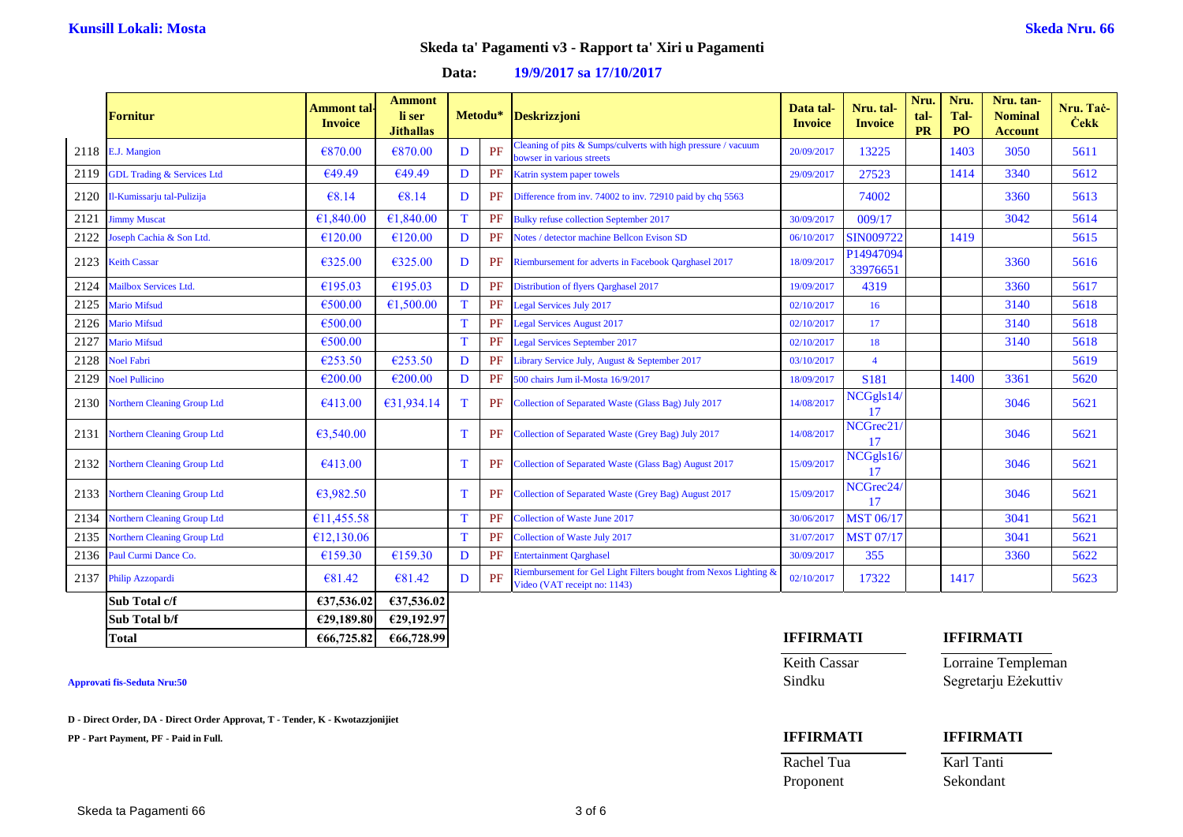### **Data: 19/9/2017 sa 17/10/2017**

|      | <b>Fornitur</b>                       | <b>Ammont</b> tal-<br><b>Invoice</b> | <b>Ammont</b><br>li ser<br><b>Jithallas</b> |   | Metodu* | <b>Deskrizzjoni</b>                                                                                        | Data tal-<br><b>Invoice</b> | Nru. tal-<br><b>Invoice</b> | Nru.<br>tal-<br><b>PR</b> | Nru.<br>Tal-<br>PO | Nru. tan-<br><b>Nominal</b><br><b>Account</b> | Nru. Tač-<br><b>Cekk</b> |
|------|---------------------------------------|--------------------------------------|---------------------------------------------|---|---------|------------------------------------------------------------------------------------------------------------|-----------------------------|-----------------------------|---------------------------|--------------------|-----------------------------------------------|--------------------------|
|      | 2118 E.J. Mangion                     | €870.00                              | €870.00                                     | D | PF      | Cleaning of pits $& \text{Sumps/culverts with high pressure} / \text{vacuum}$<br>bowser in various streets | 20/09/2017                  | 13225                       |                           | 1403               | 3050                                          | 5611                     |
| 2119 | <b>GDL Trading &amp; Services Ltd</b> | €49.49                               | €49.49                                      | D | PF      | Katrin system paper towels                                                                                 | 29/09/2017                  | 27523                       |                           | 1414               | 3340                                          | 5612                     |
| 2120 | Il-Kumissarju tal-Pulizija            | €8.14                                | €8.14                                       | D | PF      | Difference from inv. 74002 to inv. 72910 paid by chq 5563                                                  |                             | 74002                       |                           |                    | 3360                                          | 5613                     |
| 2121 | <b>Jimmy Muscat</b>                   | €1,840.00                            | €1,840.00                                   | T | PF      | <b>Bulky refuse collection September 2017</b>                                                              | 30/09/2017                  | 009/17                      |                           |                    | 3042                                          | 5614                     |
| 2122 | Joseph Cachia & Son Ltd.              | €120.00                              | €120.00                                     | D | PF      | Notes / detector machine Bellcon Evison SD                                                                 | 06/10/2017                  | SIN009722                   |                           | 1419               |                                               | 5615                     |
| 2123 | <b>Keith Cassar</b>                   | €325.00                              | €325.00                                     | D | PF      | Riembursement for adverts in Facebook Qarghasel 2017                                                       | 18/09/2017                  | P14947094<br>33976651       |                           |                    | 3360                                          | 5616                     |
| 2124 | Mailbox Services Ltd.                 | €195.03                              | €195.03                                     | D | PF      | Distribution of flyers Qarghasel 2017                                                                      | 19/09/2017                  | 4319                        |                           |                    | 3360                                          | 5617                     |
| 2125 | <b>Mario Mifsud</b>                   | €500.00                              | €1,500.00                                   | T | PF      | <b>Legal Services July 2017</b>                                                                            | 02/10/2017                  | 16                          |                           |                    | 3140                                          | 5618                     |
| 2126 | <b>Mario Mifsud</b>                   | €500.00                              |                                             | T | PF      | <b>Legal Services August 2017</b>                                                                          | 02/10/2017                  | 17                          |                           |                    | 3140                                          | 5618                     |
| 2127 | <b>Mario Mifsud</b>                   | €500.00                              |                                             | T | PF      | Legal Services September 2017                                                                              | 02/10/2017                  | 18                          |                           |                    | 3140                                          | 5618                     |
| 2128 | <b>Noel Fabri</b>                     | €253.50                              | €253.50                                     | D | PF      | Library Service July, August & September 2017                                                              | 03/10/2017                  | $\overline{4}$              |                           |                    |                                               | 5619                     |
| 2129 | <b>Noel Pullicino</b>                 | €200.00                              | €200.00                                     | D | PF      | 500 chairs Jum il-Mosta 16/9/2017                                                                          | 18/09/2017                  | S181                        |                           | 1400               | 3361                                          | 5620                     |
| 2130 | <b>Northern Cleaning Group Ltd</b>    | €413.00                              | €31,934.14                                  | T | PF      | Collection of Separated Waste (Glass Bag) July 2017                                                        | 14/08/2017                  | NCGgls14/<br>17             |                           |                    | 3046                                          | 5621                     |
| 2131 | <b>Northern Cleaning Group Ltd</b>    | 63,540.00                            |                                             | T | PF      | Collection of Separated Waste (Grey Bag) July 2017                                                         | 14/08/2017                  | NCGrec21<br>17              |                           |                    | 3046                                          | 5621                     |
| 2132 | <b>Northern Cleaning Group Ltd</b>    | €413.00                              |                                             | T | PF      | Collection of Separated Waste (Glass Bag) August 2017                                                      | 15/09/2017                  | NCGgls16/<br>17             |                           |                    | 3046                                          | 5621                     |
| 2133 | <b>Northern Cleaning Group Ltd</b>    | 63,982.50                            |                                             | T | PF      | Collection of Separated Waste (Grey Bag) August 2017                                                       | 15/09/2017                  | NCGrec <sub>24</sub><br>17  |                           |                    | 3046                                          | 5621                     |
| 2134 | Northern Cleaning Group Ltd           | €11,455.58                           |                                             | T | PF      | Collection of Waste June 2017                                                                              | 30/06/2017                  | <b>MST 06/17</b>            |                           |                    | 3041                                          | 5621                     |
| 2135 | <b>Northern Cleaning Group Ltd</b>    | £12,130.06                           |                                             | T | PF      | Collection of Waste July 2017                                                                              | 31/07/2017                  | <b>MST 07/17</b>            |                           |                    | 3041                                          | 5621                     |
| 2136 | Paul Curmi Dance Co.                  | €159.30                              | €159.30                                     | D | PF      | <b>Entertainment Oarghasel</b>                                                                             | 30/09/2017                  | 355                         |                           |                    | 3360                                          | 5622                     |
| 2137 | Philip Azzopardi                      | €81.42                               | €81.42                                      | D | PF      | Riembursement for Gel Light Filters bought from Nexos Lighting &<br>Video (VAT receipt no: 1143)           | 02/10/2017                  | 17322                       |                           | 1417               |                                               | 5623                     |
|      | Sub Total c/f                         | €37,536.02                           | €37,536.02                                  |   |         |                                                                                                            |                             |                             |                           |                    |                                               |                          |
|      | Sub Total b/f                         | €29,189.80                           | €29,192.97                                  |   |         |                                                                                                            |                             |                             |                           |                    |                                               |                          |

**D - Direct Order, DA - Direct Order Approvat, T - Tender, K - Kwotazzjonijiet**

**PP - Part Payment, PF - Paid in Full. IFFIRMATI IFFIRMATI**

**Total €66,725.82 €66,728.99 IFFIRMATI IFFIRMATI**

Keith Cassar Lorraine Templeman **Approvati fis-Seduta Nru:50** Sindku Segretarju Eżekuttiv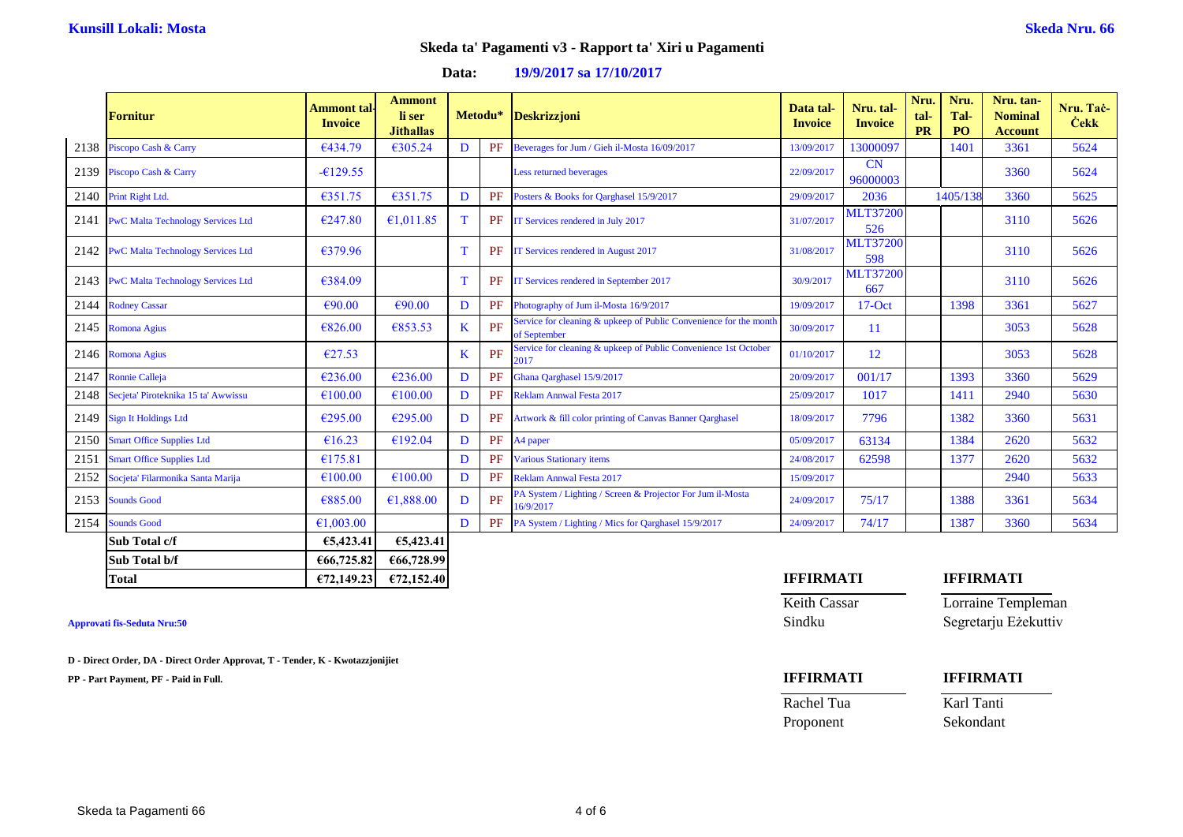### **Data: 19/9/2017 sa 17/10/2017**

|      | <b>Fornitur</b>                          | <b>Ammont</b> tal-<br><b>Invoice</b> | <b>Ammont</b><br>li ser<br><b>Jithallas</b> |         | Metodu* | <b>Deskrizzjoni</b>                                                               | Data tal-<br><b>Invoice</b> | Nru. tal-<br><b>Invoice</b> | Nru.<br>tal-<br><b>PR</b> | Nru.<br>Tal-<br>PO | Nru. tan-<br><b>Nominal</b><br><b>Account</b> | Nru. Tač-<br><b>Cekk</b> |
|------|------------------------------------------|--------------------------------------|---------------------------------------------|---------|---------|-----------------------------------------------------------------------------------|-----------------------------|-----------------------------|---------------------------|--------------------|-----------------------------------------------|--------------------------|
| 2138 | Piscopo Cash & Carry                     | €434.79                              | €305.24                                     | D       | PF      | Beverages for Jum / Gieh il-Mosta 16/09/2017                                      | 13/09/2017                  | 13000097                    |                           | 1401               | 3361                                          | 5624                     |
| 2139 | Piscopo Cash & Carry                     | $-6129.55$                           |                                             |         |         | Less returned beverages                                                           | 22/09/2017                  | CN<br>96000003              |                           |                    | 3360                                          | 5624                     |
| 2140 | Print Right Ltd.                         | €351.75                              | €351.75                                     | D       | PF      | Posters & Books for Qarghasel 15/9/2017                                           | 29/09/2017                  | 2036                        |                           | 1405/138           | 3360                                          | 5625                     |
| 2141 | <b>PwC Malta Technology Services Ltd</b> | €247.80                              | €1,011.85                                   | T       | PF      | IT Services rendered in July 2017                                                 | 31/07/2017                  | <b>MLT37200</b><br>526      |                           |                    | 3110                                          | 5626                     |
|      | 2142 PwC Malta Technology Services Ltd   | €379.96                              |                                             | T       | PF      | IT Services rendered in August 2017                                               | 31/08/2017                  | <b>MLT37200</b><br>598      |                           |                    | 3110                                          | 5626                     |
|      | 2143 PwC Malta Technology Services Ltd   | €384.09                              |                                             | T       | PF      | IT Services rendered in September 2017                                            | 30/9/2017                   | <b>MLT37200</b><br>667      |                           |                    | 3110                                          | 5626                     |
| 2144 | <b>Rodney Cassar</b>                     | €90.00                               | €90.00                                      | D       | PF      | Photography of Jum il-Mosta 16/9/2017                                             | 19/09/2017                  | $17-Oct$                    |                           | 1398               | 3361                                          | 5627                     |
| 2145 | Romona Agius                             | €826.00                              | €853.53                                     | $\bf K$ | PF      | Service for cleaning & upkeep of Public Convenience for the month<br>of September | 30/09/2017                  | 11                          |                           |                    | 3053                                          | 5628                     |
|      | 2146 Romona Agius                        | €27.53                               |                                             | K       | PF      | Service for cleaning & upkeep of Public Convenience 1st October<br>2017           | 01/10/2017                  | 12                          |                           |                    | 3053                                          | 5628                     |
| 2147 | <b>Ronnie Calleja</b>                    | €236.00                              | €236.00                                     | D       | PF      | Ghana Qarghasel 15/9/2017                                                         | 20/09/2017                  | 001/17                      |                           | 1393               | 3360                                          | 5629                     |
|      | 2148 Secjeta' Piroteknika 15 ta' Awwissu | €100.00                              | €100.00                                     | D       | PF      | <b>Reklam Annwal Festa 2017</b>                                                   | 25/09/2017                  | 1017                        |                           | 1411               | 2940                                          | 5630                     |
| 2149 | <b>Sign It Holdings Ltd</b>              | €295.00                              | €295.00                                     | D       | PF      | Artwork & fill color printing of Canvas Banner Qarghasel                          | 18/09/2017                  | 7796                        |                           | 1382               | 3360                                          | 5631                     |
| 2150 | <b>Smart Office Supplies Ltd</b>         | €16.23                               | €192.04                                     | D       | PF      | A4 paper                                                                          | 05/09/2017                  | 63134                       |                           | 1384               | 2620                                          | 5632                     |
| 2151 | <b>Smart Office Supplies Ltd</b>         | €175.81                              |                                             | D       | PF      | <b>Various Stationary items</b>                                                   | 24/08/2017                  | 62598                       |                           | 1377               | 2620                                          | 5632                     |
| 2152 | Socjeta' Filarmonika Santa Marija        | €100.00                              | €100.00                                     | D       | PF      | <b>Reklam Annwal Festa 2017</b>                                                   | 15/09/2017                  |                             |                           |                    | 2940                                          | 5633                     |
| 2153 | <b>Sounds Good</b>                       | €885.00                              | €1,888.00                                   | D       | PF      | PA System / Lighting / Screen & Projector For Jum il-Mosta<br>16/9/2017           | 24/09/2017                  | 75/17                       |                           | 1388               | 3361                                          | 5634                     |
|      | 2154 Sounds Good                         | €1,003.00                            |                                             | D       | PF      | PA System / Lighting / Mics for Qarghasel 15/9/2017                               | 24/09/2017                  | 74/17                       |                           | 1387               | 3360                                          | 5634                     |
|      | Sub Total c/f                            | €5,423.41                            | €5,423.41                                   |         |         |                                                                                   |                             |                             |                           |                    |                                               |                          |
|      | Sub Total b/f                            | €66,725.82                           | €66,728.99                                  |         |         |                                                                                   |                             |                             |                           |                    |                                               |                          |

**D - Direct Order, DA - Direct Order Approvat, T - Tender, K - Kwotazzjonijiet**

**PP - Part Payment, PF - Paid in Full. IFFIRMATI IFFIRMATI**

# **Total €72,149.23 €72,152.40 IFFIRMATI IFFIRMATI**

Keith Cassar Lorraine Templeman **Approvati fis-Seduta Nru:50** Sindku Segretarju Eżekuttiv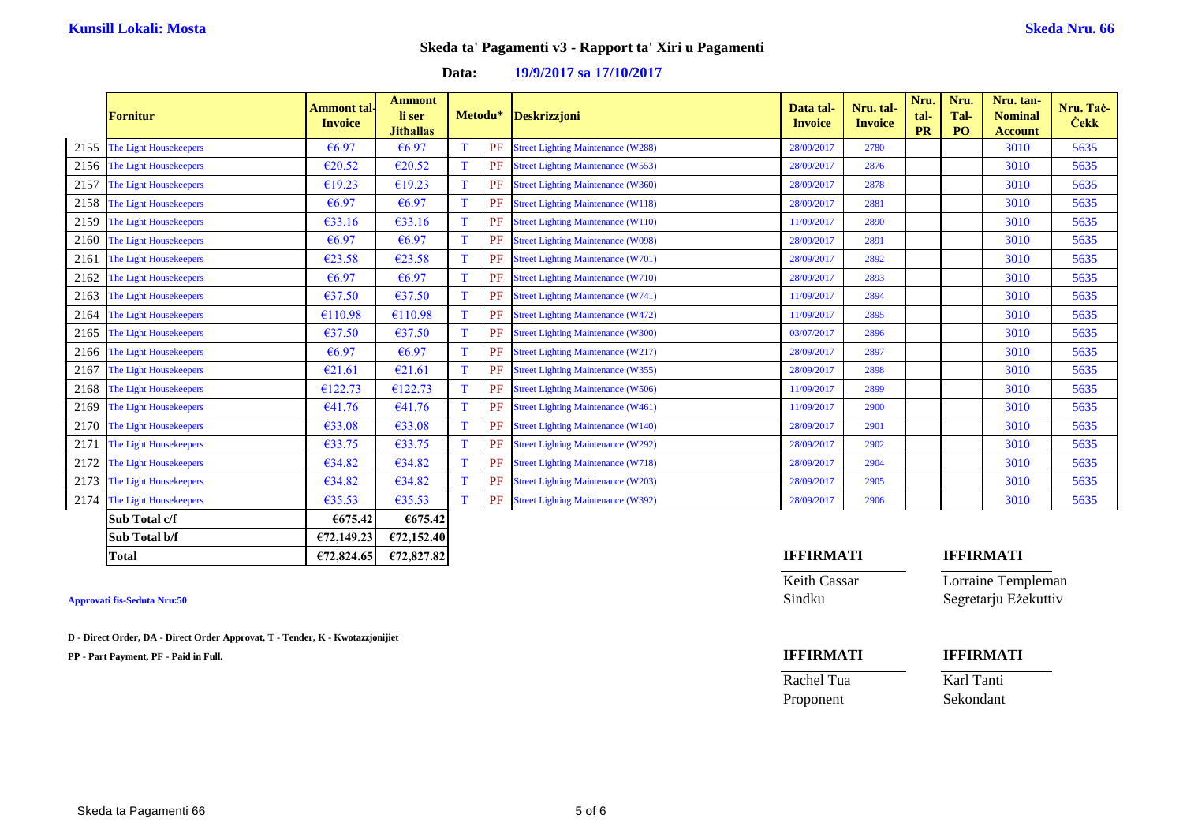## **Data: 19/9/2017 sa 17/10/2017**

|      | <b>Fornitur</b>        | <b>Ammont</b> tal-<br><b>Invoice</b> | <b>Ammont</b><br>li ser<br><b>Jithallas</b> |             |    | Metodu* Deskrizzjoni                      | Data tal-<br><b>Invoice</b> | Nru. tal-<br><b>Invoice</b> | Nru.<br>tal-<br><b>PR</b> | Nru.<br>Tal-<br>P <sub>O</sub> | Nru. tan-<br><b>Nominal</b><br><b>Account</b> | Nru. Tač-<br><b>Cekk</b> |
|------|------------------------|--------------------------------------|---------------------------------------------|-------------|----|-------------------------------------------|-----------------------------|-----------------------------|---------------------------|--------------------------------|-----------------------------------------------|--------------------------|
| 2155 | The Light Housekeepers | €6.97                                | €6.97                                       | T           | PF | <b>Street Lighting Maintenance (W288)</b> | 28/09/2017                  | 2780                        |                           |                                | 3010                                          | 5635                     |
| 2156 | The Light Housekeepers | €20.52                               | €20.52                                      | T           | PF | <b>Street Lighting Maintenance (W553)</b> | 28/09/2017                  | 2876                        |                           |                                | 3010                                          | 5635                     |
| 2157 | The Light Housekeepers | €19.23                               | €19.23                                      | T           | PF | <b>Street Lighting Maintenance (W360)</b> | 28/09/2017                  | 2878                        |                           |                                | 3010                                          | 5635                     |
| 2158 | The Light Housekeepers | €6.97                                | €6.97                                       | T           | PF | <b>Street Lighting Maintenance (W118)</b> | 28/09/2017                  | 2881                        |                           |                                | 3010                                          | 5635                     |
| 2159 | The Light Housekeepers | €33.16                               | €33.16                                      | T           | PF | <b>Street Lighting Maintenance (W110)</b> | 11/09/2017                  | 2890                        |                           |                                | 3010                                          | 5635                     |
| 2160 | The Light Housekeepers | €6.97                                | €6.97                                       | T           | PF | <b>Street Lighting Maintenance (W098)</b> | 28/09/2017                  | 2891                        |                           |                                | 3010                                          | 5635                     |
| 2161 | The Light Housekeepers | €23.58                               | €23.58                                      | T           | PF | <b>Street Lighting Maintenance (W701)</b> | 28/09/2017                  | 2892                        |                           |                                | 3010                                          | 5635                     |
| 2162 | The Light Housekeepers | €6.97                                | €6.97                                       | $\mathbf T$ | PF | <b>Street Lighting Maintenance (W710)</b> | 28/09/2017                  | 2893                        |                           |                                | 3010                                          | 5635                     |
| 2163 | The Light Housekeepers | €37.50                               | €37.50                                      | T           | PF | <b>Street Lighting Maintenance (W741)</b> | 11/09/2017                  | 2894                        |                           |                                | 3010                                          | 5635                     |
| 2164 | The Light Housekeepers | €110.98                              | €110.98                                     | T           | PF | <b>Street Lighting Maintenance (W472)</b> | 11/09/2017                  | 2895                        |                           |                                | 3010                                          | 5635                     |
| 2165 | The Light Housekeepers | €37.50                               | €37.50                                      | $\mathbf T$ | PF | <b>Street Lighting Maintenance (W300)</b> | 03/07/2017                  | 2896                        |                           |                                | 3010                                          | 5635                     |
| 2166 | The Light Housekeepers | €6.97                                | €6.97                                       | T           | PF | <b>Street Lighting Maintenance (W217)</b> | 28/09/2017                  | 2897                        |                           |                                | 3010                                          | 5635                     |
| 2167 | The Light Housekeepers | €21.61                               | €21.61                                      | T           | PF | <b>Street Lighting Maintenance (W355)</b> | 28/09/2017                  | 2898                        |                           |                                | 3010                                          | 5635                     |
| 2168 | The Light Housekeepers | €122.73                              | €122.73                                     | T           | PF | <b>Street Lighting Maintenance (W506)</b> | 11/09/2017                  | 2899                        |                           |                                | 3010                                          | 5635                     |
| 2169 | The Light Housekeepers | €41.76                               | €41.76                                      | T           | PF | <b>Street Lighting Maintenance (W461)</b> | 11/09/2017                  | 2900                        |                           |                                | 3010                                          | 5635                     |
| 2170 | The Light Housekeepers | €33.08                               | €33.08                                      | T           | PF | <b>Street Lighting Maintenance (W140)</b> | 28/09/2017                  | 2901                        |                           |                                | 3010                                          | 5635                     |
| 2171 | The Light Housekeepers | €33.75                               | €33.75                                      | T           | PF | <b>Street Lighting Maintenance (W292)</b> | 28/09/2017                  | 2902                        |                           |                                | 3010                                          | 5635                     |
| 2172 | The Light Housekeepers | €34.82                               | €34.82                                      | T           | PF | <b>Street Lighting Maintenance (W718)</b> | 28/09/2017                  | 2904                        |                           |                                | 3010                                          | 5635                     |
| 2173 | The Light Housekeepers | €34.82                               | €34.82                                      | T           | PF | <b>Street Lighting Maintenance (W203)</b> | 28/09/2017                  | 2905                        |                           |                                | 3010                                          | 5635                     |
| 2174 | The Light Housekeepers | €35.53                               | €35.53                                      | T           | PF | <b>Street Lighting Maintenance (W392)</b> | 28/09/2017                  | 2906                        |                           |                                | 3010                                          | 5635                     |
|      | Sub Total c/f          | €675.42                              | €675.42                                     |             |    |                                           |                             |                             |                           |                                |                                               |                          |
|      | Sub Total b/f          | €72,149.23                           | €72,152.40                                  |             |    |                                           |                             |                             |                           |                                |                                               |                          |

**D - Direct Order, DA - Direct Order Approvat, T - Tender, K - Kwotazzjonijiet**

**PP - Part Payment, PF - Paid in Full. IFFIRMATI IFFIRMATI**

### **Total €72,824.65 €72,827.82 IFFIRMATI IFFIRMATI**

Keith Cassar Lorraine Templeman **Approvati fis-Seduta Nru:50** Sindku Segretarju Eżekuttiv